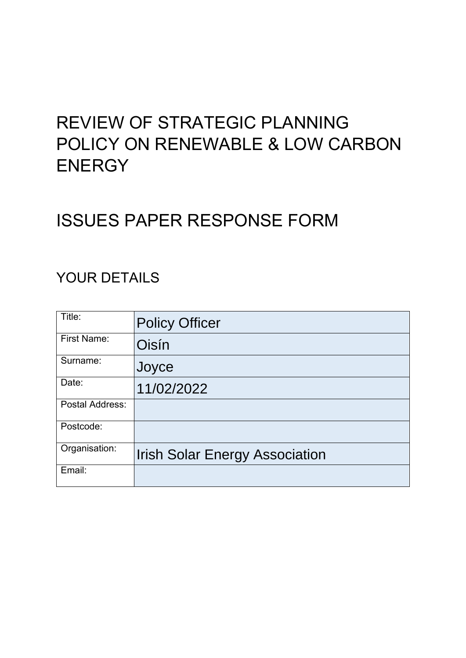# REVIEW OF STRATEGIC PLANNING POLICY ON RENEWABLE & LOW CARBON **ENERGY**

# ISSUES PAPER RESPONSE FORM

## YOUR DETAILS

| Title:             | <b>Policy Officer</b>                 |
|--------------------|---------------------------------------|
| <b>First Name:</b> | Oisín                                 |
| Surname:           | Joyce                                 |
| Date:              | 11/02/2022                            |
| Postal Address:    |                                       |
| Postcode:          |                                       |
| Organisation:      | <b>Irish Solar Energy Association</b> |
| Email:             |                                       |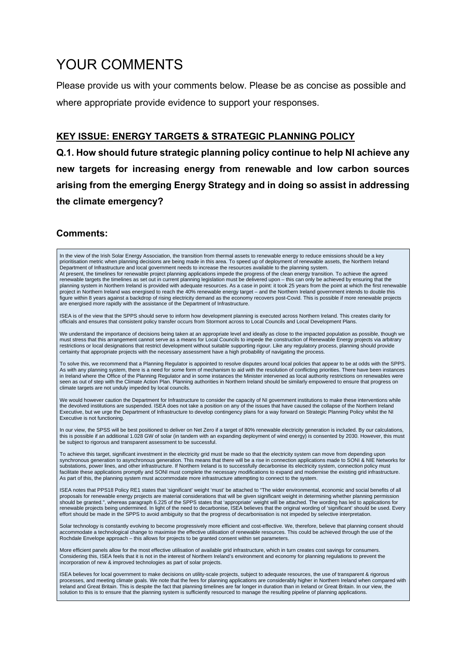# YOUR COMMENTS

Please provide us with your comments below. Please be as concise as possible and where appropriate provide evidence to support your responses.

#### **KEY ISSUE: ENERGY TARGETS & STRATEGIC PLANNING POLICY**

**Q.1. How should future strategic planning policy continue to help NI achieve any new targets for increasing energy from renewable and low carbon sources arising from the emerging Energy Strategy and in doing so assist in addressing the climate emergency?** 

#### **Comments:**

In the view of the Irish Solar Energy Association, the transition from thermal assets to renewable energy to reduce emissions should be a key<br>prioritisation metric when planning decisions are being made in this area. To sp At present, the timelines for renewable project planning applications impede the progress of the clean energy transition. To achieve the agreed renewable targets the timelines as set out in current planning legislation must be delivered upon – this can only be achieved by ensuring that the planning system in Northern Ireland is provided with adequate resources. As a case in point: it took 25 years from the point at which the first renewable<br>project in Northern Ireland was energised to reach the 40% renewable figure within 8 years against a backdrop of rising electricity demand as the economy recovers post-Covid. This is possible if more renewable projects are energised more rapidly with the assistance of the Department of Infrastructure. ISEA is of the view that the SPPS should serve to inform how development planning is executed across Northern Ireland. This creates clarity for officials and ensures that consistent policy transfer occurs from Stormont across to Local Councils and Local Development Plans. We understand the importance of decisions being taken at an appropriate level and ideally as close to the impacted population as possible, though we must stress that this arrangement cannot serve as a means for Local Councils to impede the construction of Renewable Energy projects via arbitrary restrictions or local designations that restrict development without suitable supporting rigour. Like any regulatory process, planning should provide certainty that appropriate projects with the necessary assessment have a high probability of navigating the process. To solve this, we recommend that a Planning Regulator is appointed to resolve disputes around local policies that appear to be at odds with the SPPS. As with any planning system, there is a need for some form of mechanism to aid with the resolution of conflicting priorities. There have been instances in Ireland where the Office of the Planning Regulator and in some instances the Minister intervened as local authority restrictions on renewables were seen as out of step with the Climate Action Plan. Planning authorities in Northern Ireland should be similarly empowered to ensure that progress on climate targets are not unduly impeded by local councils. We would however caution the Department for Infrastructure to consider the capacity of NI government institutions to make these interventions while the devolved institutions are suspended. ISEA does not take a position on any of the issues that have caused the collapse of the Northern Ireland Executive, but we urge the Department of Infrastructure to develop contingency plans for a way forward on Strategic Planning Policy whilst the NI Executive is not functioning. In our view, the SPSS will be best positioned to deliver on Net Zero if a target of 80% renewable electricity generation is included. By our calculations, this is possible if an additional 1.028 GW of solar (in tandem with an expanding deployment of wind energy) is consented by 2030. However, this must be subject to rigorous and transparent assessment to be successful. To achieve this target, significant investment in the electricity grid must be made so that the electricity system can move from depending upon synchronous generation to asynchronous generation. This means that there will be a rise in connection applications made to SONI & NIE Networks for substations, power lines, and other infrastructure. If Northern Ireland is to successfully decarbonise its electricity system, connection policy must facilitate these applications promptly and SONI must complete the necessary modifications to expand and modernise the existing grid infrastructure. As part of this, the planning system must accommodate more infrastructure attempting to connect to the system. ISEA notes that PPS18 Policy RE1 states that 'significant' weight 'must' be attached to "The wider environmental, economic and social benefits of all proposals for renewable energy projects are material considerations that will be given significant weight in determining whether planning permission should be granted.", whereas paragraph 6.225 of the SPPS states that 'appropriate' weight will be attached. The wording has led to applications for renewable projects being undermined. In light of the need to decarbonise, ISEA believes that the original wording of 'significant' should be used. Every effort should be made in the SPPS to avoid ambiguity so that the progress of decarbonisation is not impeded by selective interpretation. Solar technology is constantly evolving to become progressively more efficient and cost-effective. We, therefore, believe that planning consent should accommodate a technological change to maximise the effective utilisation of renewable resources. This could be achieved through the use of the Rochdale Envelope approach – this allows for projects to be granted consent within set parameters. More efficient panels allow for the most effective utilisation of available grid infrastructure, which in turn creates cost savings for consumers. Considering this, ISEA feels that it is not in the interest of Northern Ireland's environment and economy for planning regulations to prevent the incorporation of new & improved technologies as part of solar projects. ISEA believes for local government to make decisions on utility-scale projects, subject to adequate resources, the use of transparent & rigorous

processes, and meeting climate goals. We note that the fees for planning applications are considerably higher in Northern Ireland when compared with Ireland and Great Britain. This is despite the fact that planning timelines are far longer in duration than in Ireland or Great Britain. In our view, the solution to this is to ensure that the planning system is sufficiently resourced to manage the resulting pipeline of planning applications.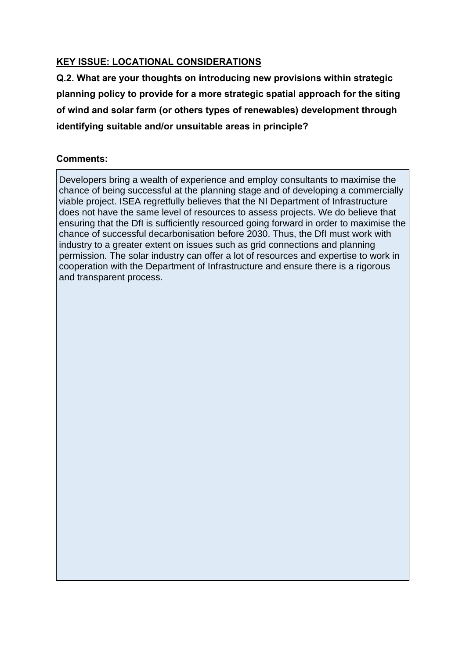#### **KEY ISSUE: LOCATIONAL CONSIDERATIONS**

**Q.2. What are your thoughts on introducing new provisions within strategic planning policy to provide for a more strategic spatial approach for the siting of wind and solar farm (or others types of renewables) development through identifying suitable and/or unsuitable areas in principle?**

#### **Comments:**

Developers bring a wealth of experience and employ consultants to maximise the chance of being successful at the planning stage and of developing a commercially viable project. ISEA regretfully believes that the NI Department of Infrastructure does not have the same level of resources to assess projects. We do believe that ensuring that the DfI is sufficiently resourced going forward in order to maximise the chance of successful decarbonisation before 2030. Thus, the DfI must work with industry to a greater extent on issues such as grid connections and planning permission. The solar industry can offer a lot of resources and expertise to work in cooperation with the Department of Infrastructure and ensure there is a rigorous and transparent process.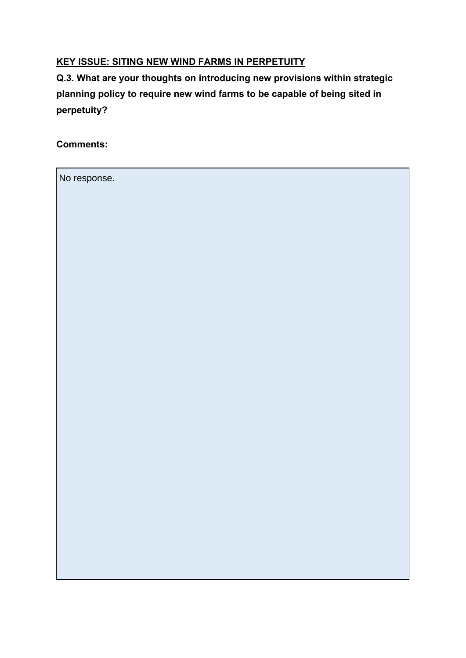#### **KEY ISSUE: SITING NEW WIND FARMS IN PERPETUITY**

**Q.3. What are your thoughts on introducing new provisions within strategic planning policy to require new wind farms to be capable of being sited in perpetuity?**

**Comments:**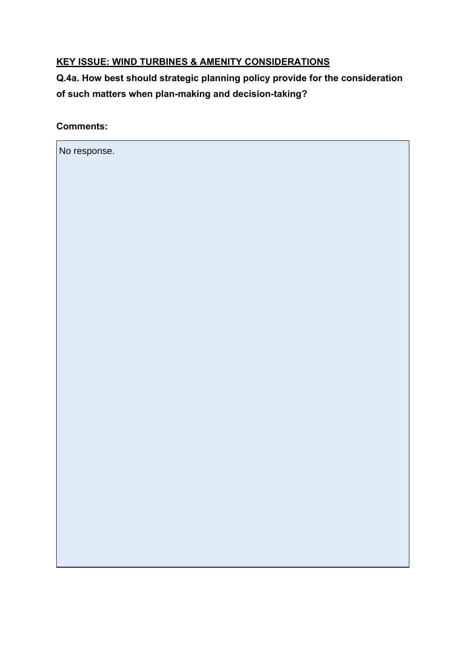#### **KEY ISSUE: WIND TURBINES & AMENITY CONSIDERATIONS**

**Q.4a. How best should strategic planning policy provide for the consideration of such matters when plan-making and decision-taking?** 

**Comments:**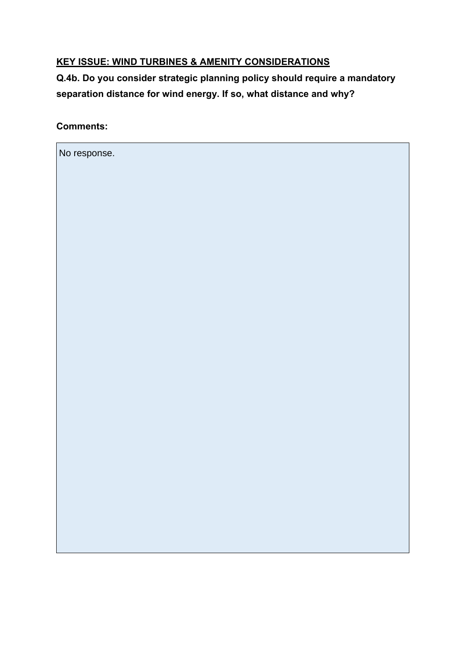#### **KEY ISSUE: WIND TURBINES & AMENITY CONSIDERATIONS**

**Q.4b. Do you consider strategic planning policy should require a mandatory separation distance for wind energy. If so, what distance and why?** 

**Comments:**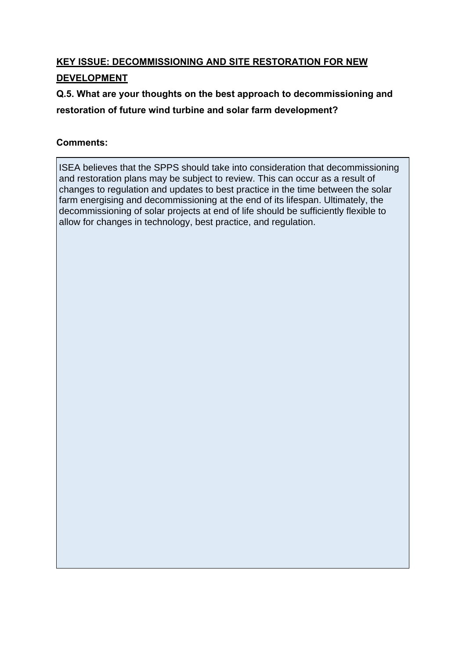### **KEY ISSUE: DECOMMISSIONING AND SITE RESTORATION FOR NEW DEVELOPMENT**

**Q.5. What are your thoughts on the best approach to decommissioning and**

**restoration of future wind turbine and solar farm development?**

#### **Comments:**

ISEA believes that the SPPS should take into consideration that decommissioning and restoration plans may be subject to review. This can occur as a result of changes to regulation and updates to best practice in the time between the solar farm energising and decommissioning at the end of its lifespan. Ultimately, the decommissioning of solar projects at end of life should be sufficiently flexible to allow for changes in technology, best practice, and regulation.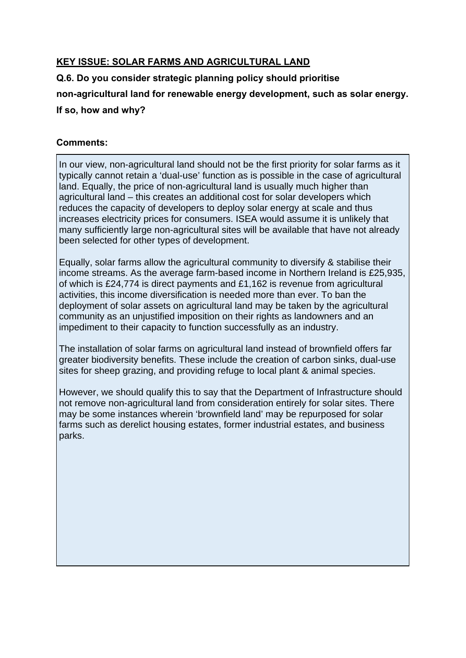#### **KEY ISSUE: SOLAR FARMS AND AGRICULTURAL LAND**

#### **Q.6. Do you consider strategic planning policy should prioritise**

#### **non-agricultural land for renewable energy development, such as solar energy.**

**If so, how and why?** 

#### **Comments:**

In our view, non-agricultural land should not be the first priority for solar farms as it typically cannot retain a 'dual-use' function as is possible in the case of agricultural land. Equally, the price of non-agricultural land is usually much higher than agricultural land – this creates an additional cost for solar developers which reduces the capacity of developers to deploy solar energy at scale and thus increases electricity prices for consumers. ISEA would assume it is unlikely that many sufficiently large non-agricultural sites will be available that have not already been selected for other types of development.

Equally, solar farms allow the agricultural community to diversify & stabilise their income streams. As the average farm-based income in Northern Ireland is £25,935, of which is £24,774 is direct payments and £1,162 is revenue from agricultural activities, this income diversification is needed more than ever. To ban the deployment of solar assets on agricultural land may be taken by the agricultural community as an unjustified imposition on their rights as landowners and an impediment to their capacity to function successfully as an industry.

The installation of solar farms on agricultural land instead of brownfield offers far greater biodiversity benefits. These include the creation of carbon sinks, dual-use sites for sheep grazing, and providing refuge to local plant & animal species.

However, we should qualify this to say that the Department of Infrastructure should not remove non-agricultural land from consideration entirely for solar sites. There may be some instances wherein 'brownfield land' may be repurposed for solar farms such as derelict housing estates, former industrial estates, and business parks.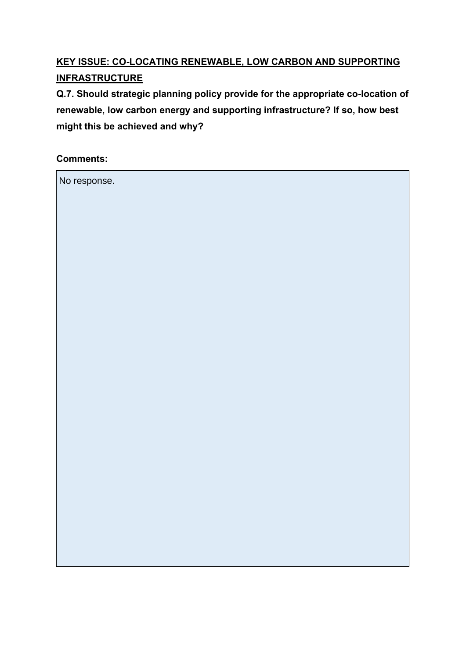## **KEY ISSUE: CO-LOCATING RENEWABLE, LOW CARBON AND SUPPORTING INFRASTRUCTURE**

**Q.7. Should strategic planning policy provide for the appropriate co-location of renewable, low carbon energy and supporting infrastructure? If so, how best might this be achieved and why?**

**Comments:**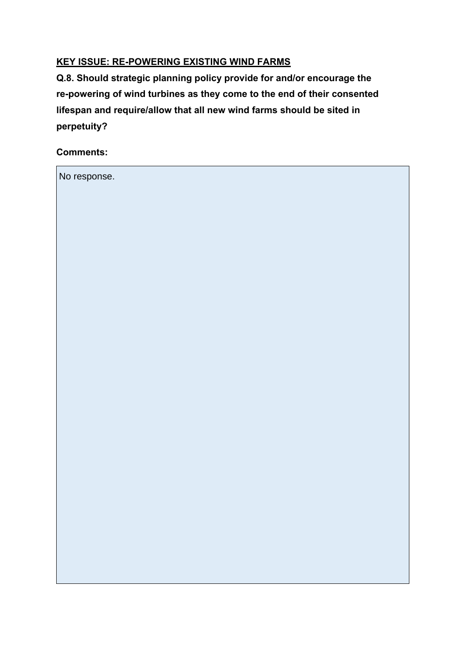#### **KEY ISSUE: RE-POWERING EXISTING WIND FARMS**

**Q.8. Should strategic planning policy provide for and/or encourage the re-powering of wind turbines as they come to the end of their consented lifespan and require/allow that all new wind farms should be sited in perpetuity?**

**Comments:**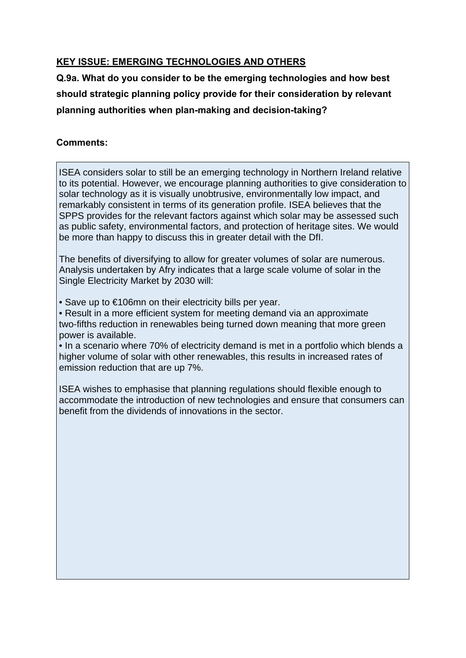#### **KEY ISSUE: EMERGING TECHNOLOGIES AND OTHERS**

**Q.9a. What do you consider to be the emerging technologies and how best should strategic planning policy provide for their consideration by relevant planning authorities when plan-making and decision-taking?** 

#### **Comments:**

ISEA considers solar to still be an emerging technology in Northern Ireland relative to its potential. However, we encourage planning authorities to give consideration to solar technology as it is visually unobtrusive, environmentally low impact, and remarkably consistent in terms of its generation profile. ISEA believes that the SPPS provides for the relevant factors against which solar may be assessed such as public safety, environmental factors, and protection of heritage sites. We would be more than happy to discuss this in greater detail with the DfI.

The benefits of diversifying to allow for greater volumes of solar are numerous. Analysis undertaken by Afry indicates that a large scale volume of solar in the Single Electricity Market by 2030 will:

• Save up to €106mn on their electricity bills per year.

• Result in a more efficient system for meeting demand via an approximate two-fifths reduction in renewables being turned down meaning that more green power is available.

• In a scenario where 70% of electricity demand is met in a portfolio which blends a higher volume of solar with other renewables, this results in increased rates of emission reduction that are up 7%.

ISEA wishes to emphasise that planning regulations should flexible enough to accommodate the introduction of new technologies and ensure that consumers can benefit from the dividends of innovations in the sector.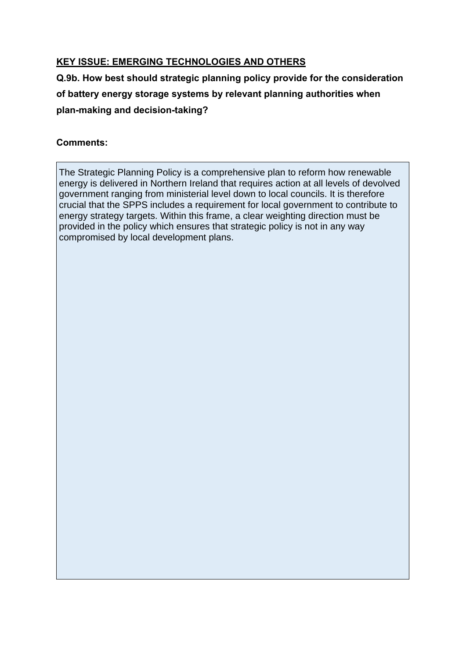#### **KEY ISSUE: EMERGING TECHNOLOGIES AND OTHERS**

**Q.9b. How best should strategic planning policy provide for the consideration of battery energy storage systems by relevant planning authorities when plan-making and decision-taking?** 

#### **Comments:**

The Strategic Planning Policy is a comprehensive plan to reform how renewable energy is delivered in Northern Ireland that requires action at all levels of devolved government ranging from ministerial level down to local councils. It is therefore crucial that the SPPS includes a requirement for local government to contribute to energy strategy targets. Within this frame, a clear weighting direction must be provided in the policy which ensures that strategic policy is not in any way compromised by local development plans.